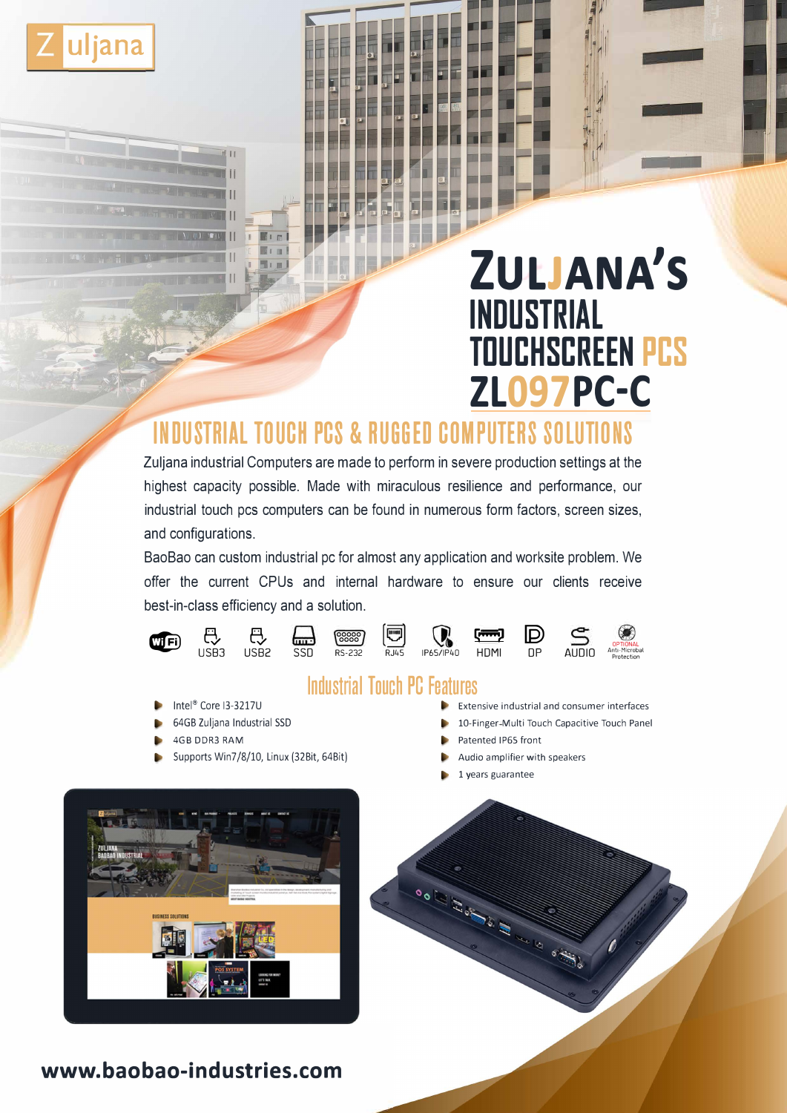

# **ZULJANA'S INDUSTRIAL TOUCHSCREEN PCS ZL097PC-C**

## **INDUSTRIAL TOUCH PCS & RUGGED COMPUTERS SOLUTIONS**

Zuljana industrial Computers are made to perform in severe production settings at the highest capacity possible. Made with miraculous resilience and performance, our industrial touch pcs computers can be found in numerous form factors, screen sizes, and configurations.

BaoBao can custom industrial pc for almost any application and worksite problem. We offer the current CPUs and internal hardware to ensure our clients receive best-in-class efficiency and a solution.



## **Industrial Touch PC Features**

- Intel® Core I3-3217U
- 64GB Zuljana Industrial 55D
- 4GB DDR3 RAM
- Supports Win7/8/10, Linux (32Bit, 64Bit)
- Extensive industrial and consumer interfaces 10-Finger-Multi Touch Capacitive Touch Panel
- Patented IP65 front
- Audio amplifier with speakers
- 1 years guarantee



### **www.baobao-industries.com**